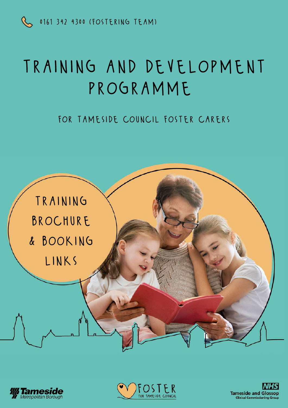

# training and development PROGRAMME

### for tameside council foster carers







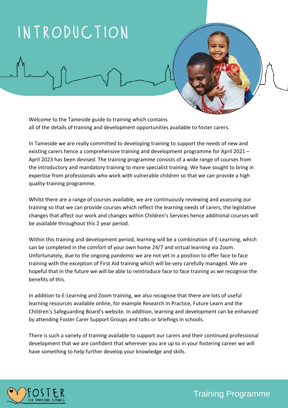# introduction

Welcome to the Tameside guide to training which contains all of the details of training and development opportunities available to foster carers.

In Tameside we are really committed to developing training to support the needs of new and existing carers hence a comprehensive training and development programme for April 2021 – April 2023 has been devised. The training programme consists of a wide range of courses from the introductory and mandatory training to more specialist training. We have sought to bring in expertise from professionals who work with vulnerable children so that we can provide a high quality-training programme.

Whilst there are a range of courses available, we are continuously reviewing and assessing our training so that we can provide courses which reflect the learning needs of carers, the legislative changes that affect our work and changes within Children's Services hence additional courses will be available throughout this 2 year period.

Within this training and development period, learning will be a combination of E-Learning, which can be completed in the comfort of your own home 24/7 and virtual learning via Zoom. Unfortunately, due to the ongoing pandemic we are not yet in a position to offer face to face training with the exception of First Aid training which will be very carefully managed. We are hopeful that in the future we will be able to reintroduce face to face training as we recognise the benefits of this.

In addition to E-Learning and Zoom training, we also recognise that there are lots of useful learning resources available online, for example Research in Practice, Future Learn and the Children's Safeguarding Board's website. In addition, learning and development can be enhanced by attending Foster Carer Support Groups and talks or briefings in schools.

There is such a variety of training available to support our carers and their continued professional development that we are confident that wherever you are up to in your fostering career we will have something to help further develop your knowledge and skills.

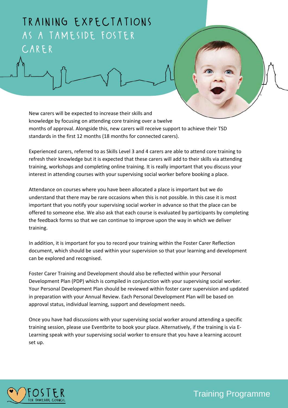### training expectations as a tameside foster CARER

New carers will be expected to increase their skills and knowledge by focusing on attending core training over a twelve months of approval. Alongside this, new carers will receive support to achieve their TSD standards in the first 12 months (18 months for connected carers).

Experienced carers, referred to as Skills Level 3 and 4 carers are able to attend core training to refresh their knowledge but it is expected that these carers will add to their skills via attending training, workshops and completing online training. It is really important that you discuss your interest in attending courses with your supervising social worker before booking a place.

Attendance on courses where you have been allocated a place is important but we do understand that there may be rare occasions when this is not possible. In this case it is most important that you notify your supervising social worker in advance so that the place can be offered to someone else. We also ask that each course is evaluated by participants by completing the feedback forms so that we can continue to improve upon the way in which we deliver training.

In addition, it is important for you to record your training within the Foster Carer Reflection document, which should be used within your supervision so that your learning and development can be explored and recognised.

Foster Carer Training and Development should also be reflected within your Personal Development Plan (PDP) which is compiled in conjunction with your supervising social worker. Your Personal Development Plan should be reviewed within foster carer supervision and updated in preparation with your Annual Review. Each Personal Development Plan will be based on approval status, individual learning, support and development needs.

Once you have had discussions with your supervising social worker around attending a specific training session, please use Eventbrite to book your place. Alternatively, if the training is via E-Learning speak with your supervising social worker to ensure that you have a learning account set up.

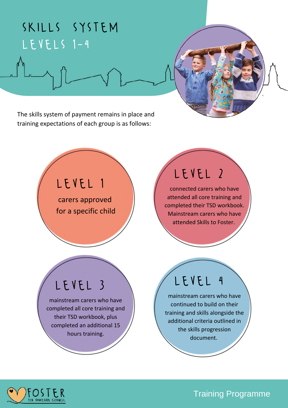## skills system levels 1-4

The skills system of payment remains in place and training expectations of each group is as follows:

### level 1

carers approved for a specific child

### level 2

connected carers who have attended all core training and completed their TSD workbook. Mainstream carers who have attended Skills to Foster.

## level 3

mainstream carers who have completed all core training and their TSD workbook, plus completed an additional 15 hours training.

## level 4

mainstream carers who have continued to build on their training and skills alongside the additional criteria outlined in the skills progression document.

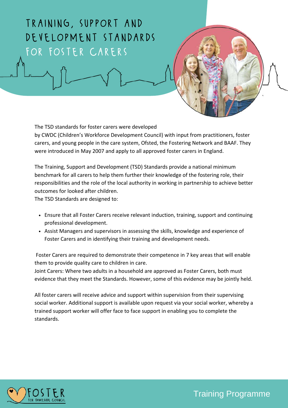### training, support and development standards for foster carers

The TSD standards for foster carers were developed

by CWDC (Children's Workforce Development Council) with input from practitioners, foster carers, and young people in the care system, Ofsted, the Fostering Network and BAAF. They were introduced in May 2007 and apply to all approved foster carers in England.

The Training, Support and Development (TSD) Standards provide a national minimum benchmark for all carers to help them further their knowledge of the fostering role, their responsibilities and the role of the local authority in working in partnership to achieve better outcomes for looked after children.

The TSD Standards are designed to:

- Ensure that all Foster Carers receive relevant induction, training, support and continuing professional development.
- Assist Managers and supervisors in assessing the skills, knowledge and experience of Foster Carers and in identifying their training and development needs.

Foster Carers are required to demonstrate their competence in 7 key areas that will enable them to provide quality care to children in care.

Joint Carers: Where two adults in a household are approved as Foster Carers, both must evidence that they meet the Standards. However, some of this evidence may be jointly held.

All foster carers will receive advice and support within supervision from their supervising social worker. Additional support is available upon request via your social worker, whereby a trained support worker will offer face to face support in enabling you to complete the standards.

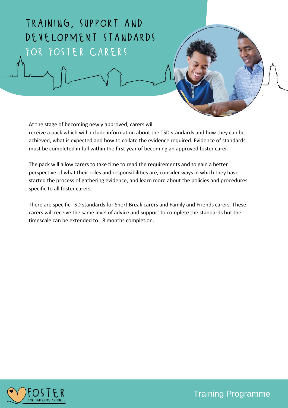### training, support and development standards for foster carers

At the stage of becoming newly approved, carers will

receive a pack which will include information about the TSD standards and how they can be achieved, what is expected and how to collate the evidence required. Evidence of standards must be completed in full within the first year of becoming an approved foster carer.

The pack will allow carers to take time to read the requirements and to gain a better perspective of what their roles and responsibilities are, consider ways in which they have started the process of gathering evidence, and learn more about the policies and procedures specific to all foster carers.

There are specific TSD standards for Short Break carers and Family and Friends carers. These carers will receive the same level of advice and support to complete the standards but the timescale can be extended to 18 months completion.

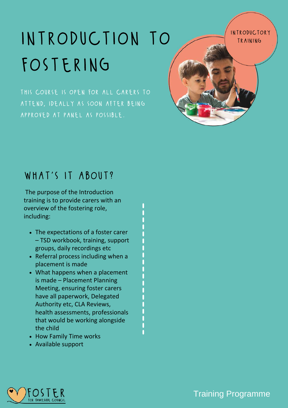# INTRODUCTION TO **ANTRODUCTION** fostering

introductory

this course is open for all carers to attend, ideally as soon after being approved at panel as possible.

### what's it about?

The purpose of the Introduction training is to provide carers with an overview of the fostering role, including:

- The expectations of a foster carer – TSD workbook, training, support groups, daily recordings etc
- Referral process including when a placement is made
- What happens when a placement is made – Placement Planning Meeting, ensuring foster carers have all paperwork, Delegated Authority etc, CLA Reviews, health assessments, professionals that would be working alongside the child
- How Family Time works
- Available support



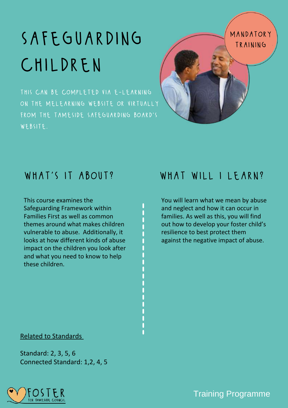# SAFEGUARDING MANDATOR children

this can be completed via e-learning on the melearning website or virtually from the tameside safeguarding board's WEBSITE.



This course examines the Safeguarding Framework within Families First as well as common themes around what makes children vulnerable to abuse. Additionally, it looks at how different kinds of abuse impact on the children you look after and what you need to know to help these children.

### WHAT'S IT ABOUT? WHAT WILL I LEARN?

You will learn what we mean by abuse and neglect and how it can occur in families. As well as this, you will find out how to develop your foster child's resilience to best protect them against the negative impact of abuse.

### Related to Standards

Standard: 2, 3, 5, 6 Connected Standard: 1,2, 4, 5

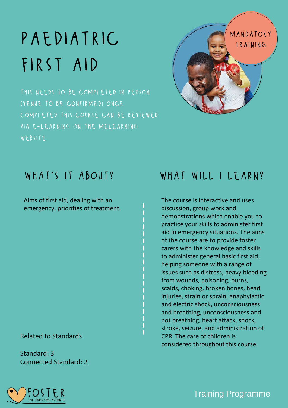# first aid

this needs to be completed in person (venue to be confirmed) once completed this course can be reviewed via e-learning on the melearning website.



Aims of first aid, dealing with an emergency, priorities of treatment.

Related to Standards

Standard: 3 Connected Standard: 2

### WHAT'S IT ABOUT? WHAT WILL I LEARN?

The course is interactive and uses discussion, group work and demonstrations which enable you to practice your skills to administer first aid in emergency situations. The aims of the course are to provide foster carers with the knowledge and skills to administer general basic first aid; helping someone with a range of issues such as distress, heavy bleeding from wounds, poisoning, burns, scalds, choking, broken bones, head injuries, strain or sprain, anaphylactic and electric shock, unconsciousness and breathing, unconsciousness and not breathing, heart attack, shock, stroke, seizure, and administration of CPR. The care of children is considered throughout this course.

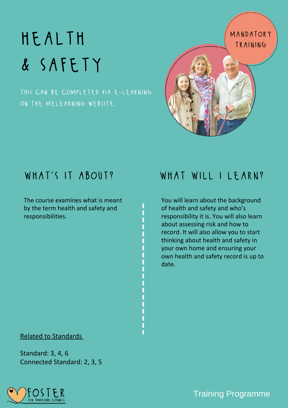# HEALTH MANDATORY & safety

this can be completed via e-learning on the melearning website.





The course examines what is meant by the term health and safety and responsibilities.

### WHAT'S IT ABOUT? WHAT WILL I LEARN?

You will learn about the background of health and safety and who's responsibility it is. You will also learn about assessing risk and how to record. It will also allow you to start thinking about health and safety in your own home and ensuring your own health and safety record is up to date.

### Related to Standards

Standard: 3, 4, 6 Connected Standard: 2, 3, 5

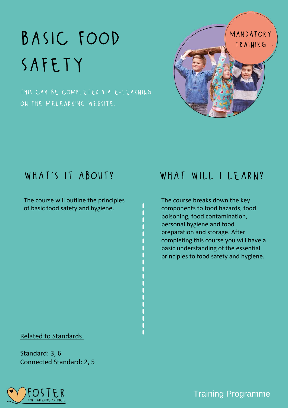# safety

this can be completed via e-learning on the melearning website.



The course will outline the principles of basic food safety and hygiene.

### WHAT'S IT ABOUT? WHAT WILL I LEARN?

The course breaks down the key components to food hazards, food poisoning, food contamination, personal hygiene and food preparation and storage. After completing this course you will have a basic understanding of the essential principles to food safety and hygiene.

### Related to Standards

Standard: 3, 6 Connected Standard: 2, 5

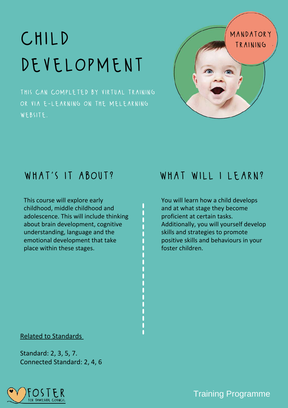# CHILD<br>DEVELOPMENT

this can completed by virtual training or via e-learning on the melearning website.



This course will explore early childhood, middle childhood and adolescence. This will include thinking about brain development, cognitive [understanding,](https://www.google.co.uk/search?q=child+development&safe=active&tbm=isch&source=iu&ictx=1&fir=HwHadlNlB3eQZM%252CvNM7PpmlCIwXxM%252C_&vet=1&usg=AI4_-kSQoPFTPXl3xzE4lVON_NGD2urMEA&sa=X&ved=2ahUKEwjH9ej446LvAhXTiFwKHSHDD6QQ9QF6BAgSEAE#imgrc=HwHadlNlB3eQZM) language and the emotional development that take place within these stages.

### WHAT'S IT ABOUT? WHAT WILL I LEARN?

You will learn how a child develops and at what stage they become proficient at certain tasks. Additionally, you will yourself develop skills and strategies to promote positive skills and behaviours in your foster children.

### Related to Standards

Standard: 2, 3, 5, 7. Connected Standard: 2, 4, 6

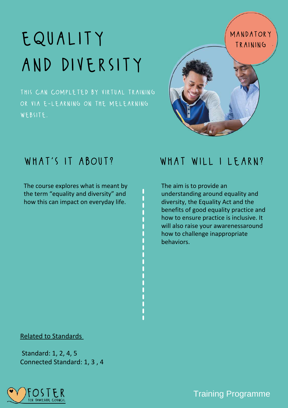# EQUALITY MANDATORY and diversity

this can completed by virtual training or via e-learning on the melearning website.



The course explores what is meant by the term "equality and [diversity"](https://www.google.co.uk/search?q=child+development&safe=active&tbm=isch&source=iu&ictx=1&fir=HwHadlNlB3eQZM%252CvNM7PpmlCIwXxM%252C_&vet=1&usg=AI4_-kSQoPFTPXl3xzE4lVON_NGD2urMEA&sa=X&ved=2ahUKEwjH9ej446LvAhXTiFwKHSHDD6QQ9QF6BAgSEAE#imgrc=HwHadlNlB3eQZM) and how this can impact on everyday life.

### WHAT'S IT ABOUT? WHAT WILL I LEARN?

The aim is to provide an understanding around equality and diversity, the Equality Act and the benefits of good equality practice and how to ensure practice is inclusive. It will also raise your awarenessaround how to challenge inappropriate behaviors.

### Related to Standards

Standard: 1, 2, 4, 5 Connected Standard: 1, 3 , 4

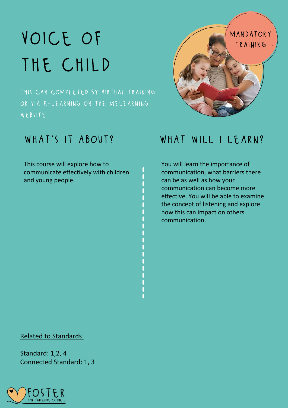# the child

this can completed by virtual training or via e-learning on the melearning website.

This course will explore how to [communicate](https://www.google.co.uk/search?q=child+development&safe=active&tbm=isch&source=iu&ictx=1&fir=HwHadlNlB3eQZM%252CvNM7PpmlCIwXxM%252C_&vet=1&usg=AI4_-kSQoPFTPXl3xzE4lVON_NGD2urMEA&sa=X&ved=2ahUKEwjH9ej446LvAhXTiFwKHSHDD6QQ9QF6BAgSEAE#imgrc=HwHadlNlB3eQZM) effectively with children and young people.



### WHAT'S IT ABOUT? WHAT WILL I LEARN?

You will learn the importance of communication, what barriers there can be as well as how your communication can become more effective. You will be able to examine the concept of listening and explore how this can impact on others communication.

### Related to Standards

Standard: 1,2, 4 Connected Standard: 1, 3

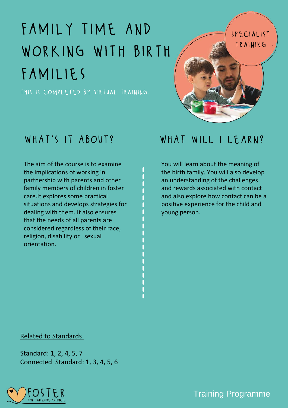# family time and WORKING WITH BIRTH families

this is completed by virtual training.

The aim of the course is to examine the [implications](https://www.google.co.uk/search?q=child+development&safe=active&tbm=isch&source=iu&ictx=1&fir=HwHadlNlB3eQZM%252CvNM7PpmlCIwXxM%252C_&vet=1&usg=AI4_-kSQoPFTPXl3xzE4lVON_NGD2urMEA&sa=X&ved=2ahUKEwjH9ej446LvAhXTiFwKHSHDD6QQ9QF6BAgSEAE#imgrc=HwHadlNlB3eQZM) of working in partnership with parents and other family members of children in foster care.It explores some practical situations and develops strategies for dealing with them. It also ensures that the needs of all parents are considered regardless of their race, religion, disability or [s](https://www.google.co.uk/search?q=child+development&safe=active&tbm=isch&source=iu&ictx=1&fir=HwHadlNlB3eQZM%252CvNM7PpmlCIwXxM%252C_&vet=1&usg=AI4_-kSQoPFTPXl3xzE4lVON_NGD2urMEA&sa=X&ved=2ahUKEwjH9ej446LvAhXTiFwKHSHDD6QQ9QF6BAgSEAE#imgrc=HwHadlNlB3eQZM)exual [orientation.](https://www.google.co.uk/search?q=child+development&safe=active&tbm=isch&source=iu&ictx=1&fir=HwHadlNlB3eQZM%252CvNM7PpmlCIwXxM%252C_&vet=1&usg=AI4_-kSQoPFTPXl3xzE4lVON_NGD2urMEA&sa=X&ved=2ahUKEwjH9ej446LvAhXTiFwKHSHDD6QQ9QF6BAgSEAE#imgrc=HwHadlNlB3eQZM)

### WHAT'S IT ABOUT? WHAT WILL I LEARN?

specialist

training

You will learn about the meaning of the birth family. You will also develop an understanding of the challenges and rewards associated with contact and also explore how contact can be a positive experience for the child and young person.

### Related to Standards

Standard: 1, 2, 4, 5, 7 Connected Standard: 1, 3, 4, 5, 6

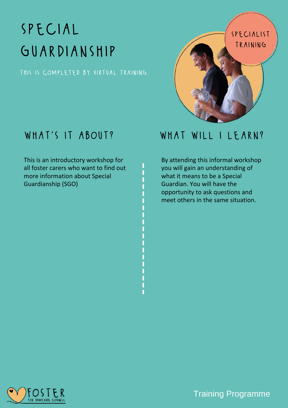# special GUARDIANSHIP

this is completed by virtual training.

This is an introductory workshop for all foster carers who want to find out more information about Special [Guardianship](https://www.google.co.uk/search?q=child+development&safe=active&tbm=isch&source=iu&ictx=1&fir=HwHadlNlB3eQZM%252CvNM7PpmlCIwXxM%252C_&vet=1&usg=AI4_-kSQoPFTPXl3xzE4lVON_NGD2urMEA&sa=X&ved=2ahUKEwjH9ej446LvAhXTiFwKHSHDD6QQ9QF6BAgSEAE#imgrc=HwHadlNlB3eQZM) (SGO)

# specialist training

### WHAT'S IT ABOUT? WHAT WILL I LEARN?

By attending this informal workshop you will gain an understanding of what it means to be a Special Guardian. You will have the opportunity to ask questions and meet others in the same situation.

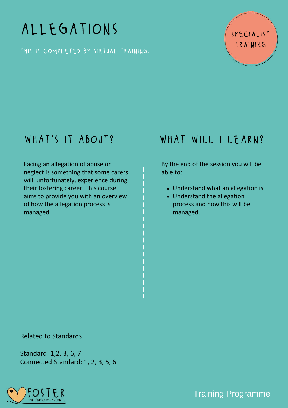## allegations

this is completed by virtual training.

### specialist training

Facing an allegation of abuse or neglect is something that some carers will, [unfortunately,](https://www.google.co.uk/search?q=child+development&safe=active&tbm=isch&source=iu&ictx=1&fir=HwHadlNlB3eQZM%252CvNM7PpmlCIwXxM%252C_&vet=1&usg=AI4_-kSQoPFTPXl3xzE4lVON_NGD2urMEA&sa=X&ved=2ahUKEwjH9ej446LvAhXTiFwKHSHDD6QQ9QF6BAgSEAE#imgrc=HwHadlNlB3eQZM) experience during their fostering career. This course aims to provide you with an overview of how the allegation process is managed[.](https://www.google.co.uk/search?q=child+development&safe=active&tbm=isch&source=iu&ictx=1&fir=HwHadlNlB3eQZM%252CvNM7PpmlCIwXxM%252C_&vet=1&usg=AI4_-kSQoPFTPXl3xzE4lVON_NGD2urMEA&sa=X&ved=2ahUKEwjH9ej446LvAhXTiFwKHSHDD6QQ9QF6BAgSEAE#imgrc=HwHadlNlB3eQZM)

### WHAT'S IT ABOUT? WHAT WILL I LEARN?

By the end of the session you will be able to:

- Understand what an allegation is
- Understand the allegation process and how this will be managed.

### Related to Standards

Standard: 1,2, 3, 6, 7 Connected Standard: 1, 2, 3, 5, 6

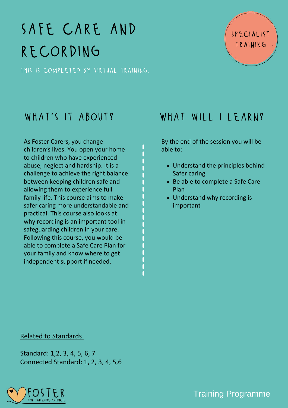# safe care and recording

this is completed by virtual training.

As Foster Carers, you change children's lives. You open your home to children who have experienced abuse, neglect and hardship. It is a challenge to achieve the right balance between keeping children safe and allowing them to experience full family life. This course aims to make safer caring more [understandable](https://www.google.co.uk/search?q=child+development&safe=active&tbm=isch&source=iu&ictx=1&fir=HwHadlNlB3eQZM%252CvNM7PpmlCIwXxM%252C_&vet=1&usg=AI4_-kSQoPFTPXl3xzE4lVON_NGD2urMEA&sa=X&ved=2ahUKEwjH9ej446LvAhXTiFwKHSHDD6QQ9QF6BAgSEAE#imgrc=HwHadlNlB3eQZM) and practical. This course also looks at why recording is an important tool in safeguarding children in your care. Following this course, you would be able to complete a Safe Care Plan for your family and know where to get independent support if needed[.](https://www.google.co.uk/search?q=child+development&safe=active&tbm=isch&source=iu&ictx=1&fir=HwHadlNlB3eQZM%252CvNM7PpmlCIwXxM%252C_&vet=1&usg=AI4_-kSQoPFTPXl3xzE4lVON_NGD2urMEA&sa=X&ved=2ahUKEwjH9ej446LvAhXTiFwKHSHDD6QQ9QF6BAgSEAE#imgrc=HwHadlNlB3eQZM)

### WHAT'S IT ABOUT? WHAT WILL I LEARN?

specialist

training

By the end of the session you will be able to:

- Understand the principles behind Safer caring
- Be able to complete a Safe Care Plan
- Understand why recording is important

### Related to Standards

Standard: 1,2, 3, 4, 5, 6, 7 Connected Standard: 1, 2, 3, 4, 5,6

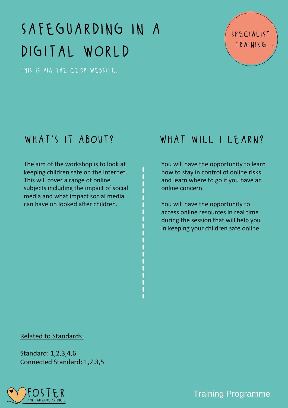# safeguarding in a digital world

this is via the ceop website.

### specialist training

The aim of the [workshop](https://www.google.co.uk/search?q=child+development&safe=active&tbm=isch&source=iu&ictx=1&fir=HwHadlNlB3eQZM%252CvNM7PpmlCIwXxM%252C_&vet=1&usg=AI4_-kSQoPFTPXl3xzE4lVON_NGD2urMEA&sa=X&ved=2ahUKEwjH9ej446LvAhXTiFwKHSHDD6QQ9QF6BAgSEAE#imgrc=HwHadlNlB3eQZM) is to look at keeping children safe on the internet. This will cover a range of online subjects including the impact of social media and what impact social media can have on looked after children[.](https://www.google.co.uk/search?q=child+development&safe=active&tbm=isch&source=iu&ictx=1&fir=HwHadlNlB3eQZM%252CvNM7PpmlCIwXxM%252C_&vet=1&usg=AI4_-kSQoPFTPXl3xzE4lVON_NGD2urMEA&sa=X&ved=2ahUKEwjH9ej446LvAhXTiFwKHSHDD6QQ9QF6BAgSEAE#imgrc=HwHadlNlB3eQZM)

### WHAT'S IT ABOUT? WHAT WILL I LEARN?

You will have the opportunity to learn how to stay in control of online risks and learn where to go if you have an online concern.

You will have the opportunity to access online resources in real time during the session that will help you in keeping your children safe online.

### Related to Standards

Standard: 1,2,3,4,6 Connected Standard: 1,2,3,5

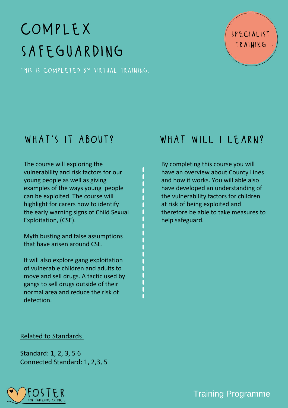# complex safeguarding

this is completed by virtual training.

specialist training

The course will exploring the [vulnerability](https://www.google.co.uk/search?q=child+development&safe=active&tbm=isch&source=iu&ictx=1&fir=HwHadlNlB3eQZM%252CvNM7PpmlCIwXxM%252C_&vet=1&usg=AI4_-kSQoPFTPXl3xzE4lVON_NGD2urMEA&sa=X&ved=2ahUKEwjH9ej446LvAhXTiFwKHSHDD6QQ9QF6BAgSEAE#imgrc=HwHadlNlB3eQZM) and risk factors for our young people as well as giving examples of the ways young [p](https://www.google.co.uk/search?q=child+development&safe=active&tbm=isch&source=iu&ictx=1&fir=HwHadlNlB3eQZM%252CvNM7PpmlCIwXxM%252C_&vet=1&usg=AI4_-kSQoPFTPXl3xzE4lVON_NGD2urMEA&sa=X&ved=2ahUKEwjH9ej446LvAhXTiFwKHSHDD6QQ9QF6BAgSEAE#imgrc=HwHadlNlB3eQZM)eople can be exploited. The course will highlight for carers how to identify the early warning signs of Child Sexual [Exploitation,](https://www.google.co.uk/search?q=child+development&safe=active&tbm=isch&source=iu&ictx=1&fir=HwHadlNlB3eQZM%252CvNM7PpmlCIwXxM%252C_&vet=1&usg=AI4_-kSQoPFTPXl3xzE4lVON_NGD2urMEA&sa=X&ved=2ahUKEwjH9ej446LvAhXTiFwKHSHDD6QQ9QF6BAgSEAE#imgrc=HwHadlNlB3eQZM) (CSE).

Myth busting and false [assumptions](https://www.google.co.uk/search?q=child+development&safe=active&tbm=isch&source=iu&ictx=1&fir=HwHadlNlB3eQZM%252CvNM7PpmlCIwXxM%252C_&vet=1&usg=AI4_-kSQoPFTPXl3xzE4lVON_NGD2urMEA&sa=X&ved=2ahUKEwjH9ej446LvAhXTiFwKHSHDD6QQ9QF6BAgSEAE#imgrc=HwHadlNlB3eQZM) that have arisen around CSE.

It will also explore gang [exploitation](https://www.google.co.uk/search?q=child+development&safe=active&tbm=isch&source=iu&ictx=1&fir=HwHadlNlB3eQZM%252CvNM7PpmlCIwXxM%252C_&vet=1&usg=AI4_-kSQoPFTPXl3xzE4lVON_NGD2urMEA&sa=X&ved=2ahUKEwjH9ej446LvAhXTiFwKHSHDD6QQ9QF6BAgSEAE#imgrc=HwHadlNlB3eQZM) of vulnerable children and adults to move and sell drugs. A tactic used by gangs to sell drugs outside of their normal area and reduce the risk of detection[.](https://www.google.co.uk/search?q=child+development&safe=active&tbm=isch&source=iu&ictx=1&fir=HwHadlNlB3eQZM%252CvNM7PpmlCIwXxM%252C_&vet=1&usg=AI4_-kSQoPFTPXl3xzE4lVON_NGD2urMEA&sa=X&ved=2ahUKEwjH9ej446LvAhXTiFwKHSHDD6QQ9QF6BAgSEAE#imgrc=HwHadlNlB3eQZM)

### WHAT'S IT ABOUT? WHAT WILL I LEARN?

By completing this course you will have an overview about County Lines and how it works. You will able also have developed an understanding of the vulnerability factors for children at risk of being exploited and therefore be able to take measures to help safeguard.

### Related to Standards

Standard: 1, 2, 3, 5 6 Connected Standard: 1, 2,3, 5

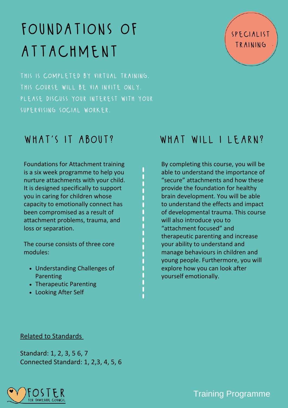# foundations of attachment

this is completed by virtual training. this course will be via invite only. please discuss your interest with your supervising social worker.

Foundations for Attachment training is a six week programme to help you nurture attachments with your child. It is designed specifically to support you in caring for children whose capacity to emotionally connect has been [compromised](https://www.google.co.uk/search?q=child+development&safe=active&tbm=isch&source=iu&ictx=1&fir=HwHadlNlB3eQZM%252CvNM7PpmlCIwXxM%252C_&vet=1&usg=AI4_-kSQoPFTPXl3xzE4lVON_NGD2urMEA&sa=X&ved=2ahUKEwjH9ej446LvAhXTiFwKHSHDD6QQ9QF6BAgSEAE#imgrc=HwHadlNlB3eQZM) as a result of attachment problems, trauma, and loss or separation.

The course consists of three core [modules:](https://www.google.co.uk/search?q=child+development&safe=active&tbm=isch&source=iu&ictx=1&fir=HwHadlNlB3eQZM%252CvNM7PpmlCIwXxM%252C_&vet=1&usg=AI4_-kSQoPFTPXl3xzE4lVON_NGD2urMEA&sa=X&ved=2ahUKEwjH9ej446LvAhXTiFwKHSHDD6QQ9QF6BAgSEAE#imgrc=HwHadlNlB3eQZM)

- [Understanding](https://www.google.co.uk/search?q=child+development&safe=active&tbm=isch&source=iu&ictx=1&fir=HwHadlNlB3eQZM%252CvNM7PpmlCIwXxM%252C_&vet=1&usg=AI4_-kSQoPFTPXl3xzE4lVON_NGD2urMEA&sa=X&ved=2ahUKEwjH9ej446LvAhXTiFwKHSHDD6QQ9QF6BAgSEAE#imgrc=HwHadlNlB3eQZM) Challenges of Parenting
- [Therapeutic](https://www.google.co.uk/search?q=child+development&safe=active&tbm=isch&source=iu&ictx=1&fir=HwHadlNlB3eQZM%252CvNM7PpmlCIwXxM%252C_&vet=1&usg=AI4_-kSQoPFTPXl3xzE4lVON_NGD2urMEA&sa=X&ved=2ahUKEwjH9ej446LvAhXTiFwKHSHDD6QQ9QF6BAgSEAE#imgrc=HwHadlNlB3eQZM) Parenting
- [Looking](https://www.google.co.uk/search?q=child+development&safe=active&tbm=isch&source=iu&ictx=1&fir=HwHadlNlB3eQZM%252CvNM7PpmlCIwXxM%252C_&vet=1&usg=AI4_-kSQoPFTPXl3xzE4lVON_NGD2urMEA&sa=X&ved=2ahUKEwjH9ej446LvAhXTiFwKHSHDD6QQ9QF6BAgSEAE#imgrc=HwHadlNlB3eQZM) After Self

### WHAT'S IT ABOUT? WHAT WILL I LEARN?

specialist

training

By completing this course, you will be able to understand the importance of "secure" attachments and how these provide the foundation for healthy brain development. You will be able to understand the effects and impact of developmental trauma. This course will also introduce you to "attachment focused" and therapeutic parenting and increase your ability to understand and manage behaviours in children and young people. Furthermore, you will explore how you can look after yourself emotionally.

### Related to Standards

Standard: 1, 2, 3, 5 6, 7 Connected Standard: 1, 2,3, 4, 5, 6

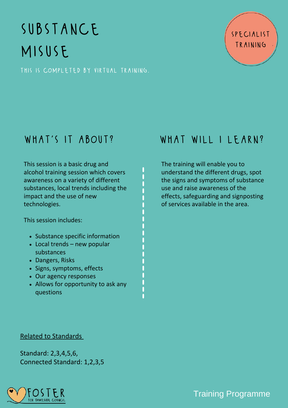# substance misuse

this is completed by virtual training.



This session is a basic drug and alcohol training session which covers awareness on a variety of different substances, local trends including the impact and the use of new [technologies.](https://www.google.co.uk/search?q=child+development&safe=active&tbm=isch&source=iu&ictx=1&fir=HwHadlNlB3eQZM%252CvNM7PpmlCIwXxM%252C_&vet=1&usg=AI4_-kSQoPFTPXl3xzE4lVON_NGD2urMEA&sa=X&ved=2ahUKEwjH9ej446LvAhXTiFwKHSHDD6QQ9QF6BAgSEAE#imgrc=HwHadlNlB3eQZM)

This session [includes:](https://www.google.co.uk/search?q=child+development&safe=active&tbm=isch&source=iu&ictx=1&fir=HwHadlNlB3eQZM%252CvNM7PpmlCIwXxM%252C_&vet=1&usg=AI4_-kSQoPFTPXl3xzE4lVON_NGD2urMEA&sa=X&ved=2ahUKEwjH9ej446LvAhXTiFwKHSHDD6QQ9QF6BAgSEAE#imgrc=HwHadlNlB3eQZM)

- Substance specific [information](https://www.google.co.uk/search?q=child+development&safe=active&tbm=isch&source=iu&ictx=1&fir=HwHadlNlB3eQZM%252CvNM7PpmlCIwXxM%252C_&vet=1&usg=AI4_-kSQoPFTPXl3xzE4lVON_NGD2urMEA&sa=X&ved=2ahUKEwjH9ej446LvAhXTiFwKHSHDD6QQ9QF6BAgSEAE#imgrc=HwHadlNlB3eQZM)
- Local trends new popular [substances](https://www.google.co.uk/search?q=child+development&safe=active&tbm=isch&source=iu&ictx=1&fir=HwHadlNlB3eQZM%252CvNM7PpmlCIwXxM%252C_&vet=1&usg=AI4_-kSQoPFTPXl3xzE4lVON_NGD2urMEA&sa=X&ved=2ahUKEwjH9ej446LvAhXTiFwKHSHDD6QQ9QF6BAgSEAE#imgrc=HwHadlNlB3eQZM)
- [Dangers,](https://www.google.co.uk/search?q=child+development&safe=active&tbm=isch&source=iu&ictx=1&fir=HwHadlNlB3eQZM%252CvNM7PpmlCIwXxM%252C_&vet=1&usg=AI4_-kSQoPFTPXl3xzE4lVON_NGD2urMEA&sa=X&ved=2ahUKEwjH9ej446LvAhXTiFwKHSHDD6QQ9QF6BAgSEAE#imgrc=HwHadlNlB3eQZM) Risks
- Signs, [symptoms,](https://www.google.co.uk/search?q=child+development&safe=active&tbm=isch&source=iu&ictx=1&fir=HwHadlNlB3eQZM%252CvNM7PpmlCIwXxM%252C_&vet=1&usg=AI4_-kSQoPFTPXl3xzE4lVON_NGD2urMEA&sa=X&ved=2ahUKEwjH9ej446LvAhXTiFwKHSHDD6QQ9QF6BAgSEAE#imgrc=HwHadlNlB3eQZM) effects
- Our agency [responses](https://www.google.co.uk/search?q=child+development&safe=active&tbm=isch&source=iu&ictx=1&fir=HwHadlNlB3eQZM%252CvNM7PpmlCIwXxM%252C_&vet=1&usg=AI4_-kSQoPFTPXl3xzE4lVON_NGD2urMEA&sa=X&ved=2ahUKEwjH9ej446LvAhXTiFwKHSHDD6QQ9QF6BAgSEAE#imgrc=HwHadlNlB3eQZM)
- Allows for [opportunity](https://www.google.co.uk/search?q=child+development&safe=active&tbm=isch&source=iu&ictx=1&fir=HwHadlNlB3eQZM%252CvNM7PpmlCIwXxM%252C_&vet=1&usg=AI4_-kSQoPFTPXl3xzE4lVON_NGD2urMEA&sa=X&ved=2ahUKEwjH9ej446LvAhXTiFwKHSHDD6QQ9QF6BAgSEAE#imgrc=HwHadlNlB3eQZM) to ask any questions

### WHAT'S IT ABOUT? WHAT WILL I LEARN?

The training will enable you to understand the different drugs, spot the signs and symptoms of substance use and raise awareness of the effects, safeguarding and signposting of services available in the area.

### Related to Standards

Standard: 2,3,4,5,6, Connected Standard: 1,2,3,5

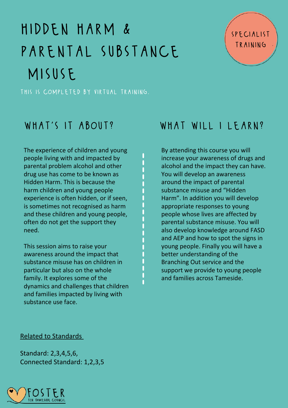# hidden harm & PARENTAL SUBSTANCE misuse

this is completed by virtual training.

The experience of children and young people living with and impacted by parental problem alcohol and other drug use has come to be known as Hidden Harm. This is because the harm children and young people [experience](https://www.google.co.uk/search?q=child+development&safe=active&tbm=isch&source=iu&ictx=1&fir=HwHadlNlB3eQZM%252CvNM7PpmlCIwXxM%252C_&vet=1&usg=AI4_-kSQoPFTPXl3xzE4lVON_NGD2urMEA&sa=X&ved=2ahUKEwjH9ej446LvAhXTiFwKHSHDD6QQ9QF6BAgSEAE#imgrc=HwHadlNlB3eQZM) is often hidden, or if seen, is sometimes not recognised as harm and these children and young people, often do not get the support they need.

This session aims to raise your [awareness](https://www.google.co.uk/search?q=child+development&safe=active&tbm=isch&source=iu&ictx=1&fir=HwHadlNlB3eQZM%252CvNM7PpmlCIwXxM%252C_&vet=1&usg=AI4_-kSQoPFTPXl3xzE4lVON_NGD2urMEA&sa=X&ved=2ahUKEwjH9ej446LvAhXTiFwKHSHDD6QQ9QF6BAgSEAE#imgrc=HwHadlNlB3eQZM) around the impact that substance misuse has on children in particular but also on the whole family. It explores some of the dynamics and challenges that children and families impacted by living with substance use face.

### WHAT'S IT ABOUT? WHAT WILL I LEARN?

By attending this course you will increase your awareness of drugs and alcohol and the impact they can have. You will develop an awareness around the impact of parental substance misuse and "Hidden Harm". In addition you will develop appropriate responses to young people whose lives are affected by parental substance misuse. You will also develop knowledge around FASD and AEP and how to spot the signs in young people. Finally you will have a better understanding of the Branching Out service and the support we provide to young people and families across Tameside.

### Related to Standards

Standard: 2,3,4,5,6, Connected Standard: 1,2,3,5

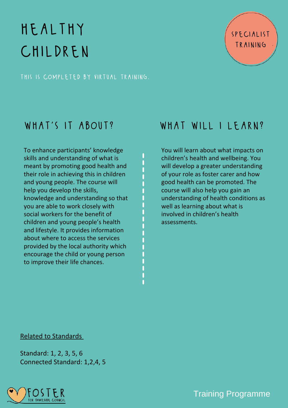# healthy children

this is completed by virtual training.

To enhance participants' knowledge skills and [understanding](https://www.google.co.uk/search?q=child+development&safe=active&tbm=isch&source=iu&ictx=1&fir=HwHadlNlB3eQZM%252CvNM7PpmlCIwXxM%252C_&vet=1&usg=AI4_-kSQoPFTPXl3xzE4lVON_NGD2urMEA&sa=X&ved=2ahUKEwjH9ej446LvAhXTiFwKHSHDD6QQ9QF6BAgSEAE#imgrc=HwHadlNlB3eQZM) of what is meant by promoting good health and their role in achieving this in children and young people. The course will help you develop the skills, knowledge and understanding so that you are able to work closely with social workers for the benefit of children and young people's health and lifestyle. It provides information about where to access the services provided by the local authority which encourage the child or young person to improve their life chances[.](https://www.google.co.uk/search?q=child+development&safe=active&tbm=isch&source=iu&ictx=1&fir=HwHadlNlB3eQZM%252CvNM7PpmlCIwXxM%252C_&vet=1&usg=AI4_-kSQoPFTPXl3xzE4lVON_NGD2urMEA&sa=X&ved=2ahUKEwjH9ej446LvAhXTiFwKHSHDD6QQ9QF6BAgSEAE#imgrc=HwHadlNlB3eQZM)

### WHAT'S IT ABOUT? WHAT WILL I LEARN?

specialist

training

You will learn about what impacts on children's health and wellbeing. You will develop a greater understanding of your role as foster carer and how good health can be promoted. The course will also help you gain an understanding of health conditions as well as learning about what is involved in children's health assessments.

### Related to Standards

Standard: 1, 2, 3, 5, 6 Connected Standard: 1,2,4, 5

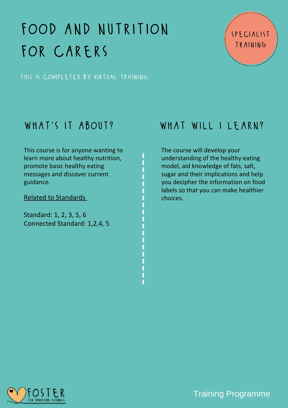# food and nutrition for carers

specialist training

this is completed by virtual training.

This course is for anyone wanting to learn more about healthy nutrition, promote basic healthy eating messages and discover current [guidance.](https://www.google.co.uk/search?q=child+development&safe=active&tbm=isch&source=iu&ictx=1&fir=HwHadlNlB3eQZM%252CvNM7PpmlCIwXxM%252C_&vet=1&usg=AI4_-kSQoPFTPXl3xzE4lVON_NGD2urMEA&sa=X&ved=2ahUKEwjH9ej446LvAhXTiFwKHSHDD6QQ9QF6BAgSEAE#imgrc=HwHadlNlB3eQZM)

Related to Standards

Standard: 1, 2, 3, 5, 6 Connected Standard: 1,2,4, 5

### WHAT'S IT ABOUT? WHAT WILL I LEARN?

The course will develop your understanding of the healthy eating model, aid knowledge of fats, salt, sugar and their implications and help you decipher the information on food labels so that you can make healthier choices.

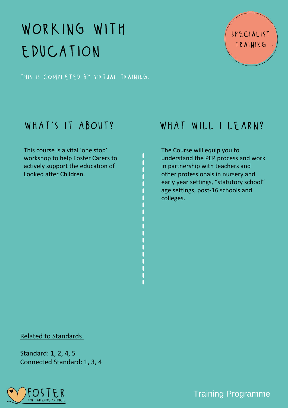# working with education

this is completed by virtual training.

This course is a vital 'one stop' workshop to help Foster Carers to actively support the [education](https://www.google.co.uk/search?q=child+development&safe=active&tbm=isch&source=iu&ictx=1&fir=HwHadlNlB3eQZM%252CvNM7PpmlCIwXxM%252C_&vet=1&usg=AI4_-kSQoPFTPXl3xzE4lVON_NGD2urMEA&sa=X&ved=2ahUKEwjH9ej446LvAhXTiFwKHSHDD6QQ9QF6BAgSEAE#imgrc=HwHadlNlB3eQZM) of Looked after Children.

### WHAT'S IT ABOUT? WHAT WILL I LEARN?

specialist

training

The Course will equip you to understand the PEP process and work in partnership with teachers and other professionals in nursery and early year settings, "statutory school" age settings, post-16 schools and colleges.

### Related to Standards

Standard: 1, 2, 4, 5 Connected Standard: 1, 3, 4

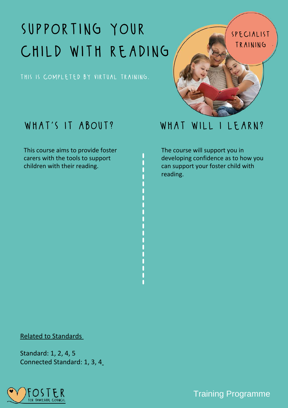# supporting your child with reading

this is completed by virtual training.



This course aims to provide foster carers with the tools to support children with their [reading.](https://www.google.co.uk/search?q=child+development&safe=active&tbm=isch&source=iu&ictx=1&fir=HwHadlNlB3eQZM%252CvNM7PpmlCIwXxM%252C_&vet=1&usg=AI4_-kSQoPFTPXl3xzE4lVON_NGD2urMEA&sa=X&ved=2ahUKEwjH9ej446LvAhXTiFwKHSHDD6QQ9QF6BAgSEAE#imgrc=HwHadlNlB3eQZM)



The course will support you in developing confidence as to how you can support your foster child with reading.

### Related to Standards

Standard: 1, 2, 4, 5 Connected Standard: 1, 3, 4

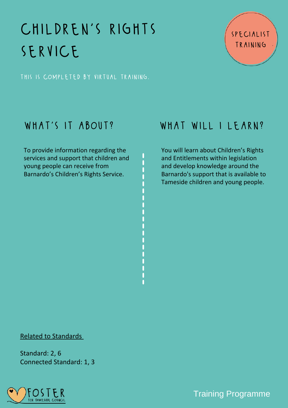# CHILDREN'S RIGHTS service

specialist training

this is completed by virtual training.

To provide [information](https://www.google.co.uk/search?q=child+development&safe=active&tbm=isch&source=iu&ictx=1&fir=HwHadlNlB3eQZM%252CvNM7PpmlCIwXxM%252C_&vet=1&usg=AI4_-kSQoPFTPXl3xzE4lVON_NGD2urMEA&sa=X&ved=2ahUKEwjH9ej446LvAhXTiFwKHSHDD6QQ9QF6BAgSEAE#imgrc=HwHadlNlB3eQZM) regarding the services and support that children and young people can receive from Barnardo's Children's Rights Service[.](https://www.google.co.uk/search?q=child+development&safe=active&tbm=isch&source=iu&ictx=1&fir=HwHadlNlB3eQZM%252CvNM7PpmlCIwXxM%252C_&vet=1&usg=AI4_-kSQoPFTPXl3xzE4lVON_NGD2urMEA&sa=X&ved=2ahUKEwjH9ej446LvAhXTiFwKHSHDD6QQ9QF6BAgSEAE#imgrc=HwHadlNlB3eQZM)

### WHAT'S IT ABOUT? WHAT WILL I LEARN?

You will learn about Children's Rights and Entitlements within legislation and develop knowledge around the Barnardo's support that is available to Tameside children and young people.

### Related to Standards

Standard: 2, 6 Connected Standard: 1, 3

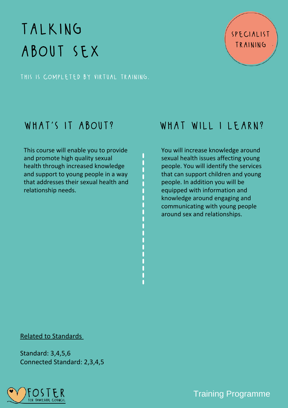# talking about sex

this is completed by virtual training.

This course will enable you to provide and promote high quality sexual health through increased knowledge and support to young people in a way that addresses their sexual health and [relationship](https://www.google.co.uk/search?q=child+development&safe=active&tbm=isch&source=iu&ictx=1&fir=HwHadlNlB3eQZM%252CvNM7PpmlCIwXxM%252C_&vet=1&usg=AI4_-kSQoPFTPXl3xzE4lVON_NGD2urMEA&sa=X&ved=2ahUKEwjH9ej446LvAhXTiFwKHSHDD6QQ9QF6BAgSEAE#imgrc=HwHadlNlB3eQZM) needs.

### WHAT'S IT ABOUT? WHAT WILL I LEARN?

specialist

training

You will increase knowledge around sexual health issues affecting young people. You will identify the services that can support children and young people. In addition you will be equipped with information and knowledge around engaging and communicating with young people around sex and relationships.

### Related to Standards

Standard: 3,4,5,6 Connected Standard: 2,3,4,5

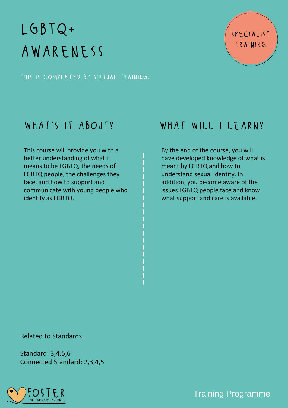# $LGBTQ+$ awareness

this is completed by virtual training.

This course will provide you with a better [understanding](https://www.google.co.uk/search?q=child+development&safe=active&tbm=isch&source=iu&ictx=1&fir=HwHadlNlB3eQZM%252CvNM7PpmlCIwXxM%252C_&vet=1&usg=AI4_-kSQoPFTPXl3xzE4lVON_NGD2urMEA&sa=X&ved=2ahUKEwjH9ej446LvAhXTiFwKHSHDD6QQ9QF6BAgSEAE#imgrc=HwHadlNlB3eQZM) of what it means to be LGBTQ, the needs of LGBTQ people, the challenges they face, and how to support and communicate with young people who identify as LGBTQ.

### WHAT'S IT ABOUT? WHAT WILL I LEARN?

specialist

training

By the end of the course, you will have developed knowledge of what is meant by LGBTQ and how to understand sexual identity. In addition, you become aware of the issues LGBTQ people face and know what support and care is available.

### Related to Standards

Standard: 3,4,5,6 Connected Standard: 2,3,4,5

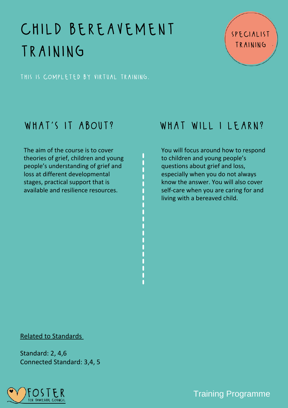# child bereavement training

specialist training

this is completed by virtual training.

The aim of the course is to cover theories of grief, children and young people's understanding of grief and loss at different [developmental](https://www.google.co.uk/search?q=child+development&safe=active&tbm=isch&source=iu&ictx=1&fir=HwHadlNlB3eQZM%252CvNM7PpmlCIwXxM%252C_&vet=1&usg=AI4_-kSQoPFTPXl3xzE4lVON_NGD2urMEA&sa=X&ved=2ahUKEwjH9ej446LvAhXTiFwKHSHDD6QQ9QF6BAgSEAE#imgrc=HwHadlNlB3eQZM) stages, practical support that is available and resilience resources.

### WHAT'S IT ABOUT? WHAT WILL I LEARN?

You will focus around how to respond to children and young people's questions about grief and loss, especially when you do not always know the answer. You will also cover self-care when you are caring for and living with a bereaved child.

### Related to Standards

Standard: 2, 4,6 Connected Standard: 3,4, 5

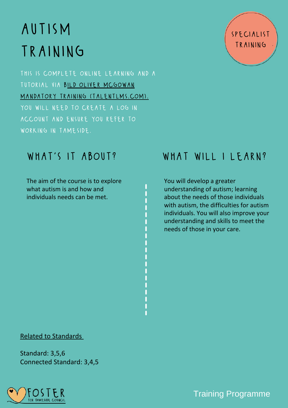# autism TRAINING

this is complete online learning and a tutorial via bild oliver mcgowan mandatory training [\(talentlms.com\).](https://olivermcgowanmandatorytraining-bild.talentlms.com/index) you will need to create a log in account and ensure you refer to working in tameside.

The aim of the course is to explore what autism is and how and [individuals](https://www.google.co.uk/search?q=child+development&safe=active&tbm=isch&source=iu&ictx=1&fir=HwHadlNlB3eQZM%252CvNM7PpmlCIwXxM%252C_&vet=1&usg=AI4_-kSQoPFTPXl3xzE4lVON_NGD2urMEA&sa=X&ved=2ahUKEwjH9ej446LvAhXTiFwKHSHDD6QQ9QF6BAgSEAE#imgrc=HwHadlNlB3eQZM) needs can be met[.](https://www.google.co.uk/search?q=child+development&safe=active&tbm=isch&source=iu&ictx=1&fir=HwHadlNlB3eQZM%252CvNM7PpmlCIwXxM%252C_&vet=1&usg=AI4_-kSQoPFTPXl3xzE4lVON_NGD2urMEA&sa=X&ved=2ahUKEwjH9ej446LvAhXTiFwKHSHDD6QQ9QF6BAgSEAE#imgrc=HwHadlNlB3eQZM)

### specialist training

### WHAT'S IT ABOUT? WHAT WILL I LEARN?

You will develop a greater understanding of autism; learning about the needs of those individuals with autism, the difficulties for autism individuals. You will also improve your understanding and skills to meet the needs of those in your care.

### Related to Standards

Standard: 3,5,6 Connected Standard: 3,4,5

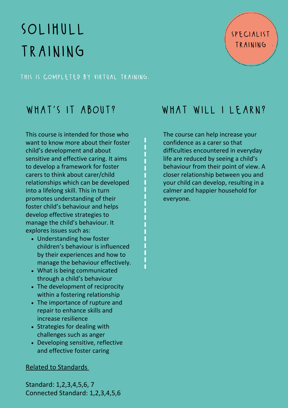# solihull TRAINING

this is completed by virtual training.

This course is intended for those who want to know more about their foster child's development and about sensitive and effective caring. It aims to develop a framework for foster carers to think about carer/child relationships which can be developed into a lifelong skill. This in turn promotes [understanding](https://www.google.co.uk/search?q=child+development&safe=active&tbm=isch&source=iu&ictx=1&fir=HwHadlNlB3eQZM%252CvNM7PpmlCIwXxM%252C_&vet=1&usg=AI4_-kSQoPFTPXl3xzE4lVON_NGD2urMEA&sa=X&ved=2ahUKEwjH9ej446LvAhXTiFwKHSHDD6QQ9QF6BAgSEAE#imgrc=HwHadlNlB3eQZM) of their foster child's behaviour and helps develop effective strategies to manage the child's behaviour. It explores issues such as:

- [Understanding](https://www.google.co.uk/search?q=child+development&safe=active&tbm=isch&source=iu&ictx=1&fir=HwHadlNlB3eQZM%252CvNM7PpmlCIwXxM%252C_&vet=1&usg=AI4_-kSQoPFTPXl3xzE4lVON_NGD2urMEA&sa=X&ved=2ahUKEwjH9ej446LvAhXTiFwKHSHDD6QQ9QF6BAgSEAE#imgrc=HwHadlNlB3eQZM) how foster children's behaviour is influenced by their experiences and how to manage the behaviour effectively.
- What is being [communicated](https://www.google.co.uk/search?q=child+development&safe=active&tbm=isch&source=iu&ictx=1&fir=HwHadlNlB3eQZM%252CvNM7PpmlCIwXxM%252C_&vet=1&usg=AI4_-kSQoPFTPXl3xzE4lVON_NGD2urMEA&sa=X&ved=2ahUKEwjH9ej446LvAhXTiFwKHSHDD6QQ9QF6BAgSEAE#imgrc=HwHadlNlB3eQZM) through a child's behaviour
- The [development](https://www.google.co.uk/search?q=child+development&safe=active&tbm=isch&source=iu&ictx=1&fir=HwHadlNlB3eQZM%252CvNM7PpmlCIwXxM%252C_&vet=1&usg=AI4_-kSQoPFTPXl3xzE4lVON_NGD2urMEA&sa=X&ved=2ahUKEwjH9ej446LvAhXTiFwKHSHDD6QQ9QF6BAgSEAE#imgrc=HwHadlNlB3eQZM) of reciprocity within a fostering relationship
- The [importance](https://www.google.co.uk/search?q=child+development&safe=active&tbm=isch&source=iu&ictx=1&fir=HwHadlNlB3eQZM%252CvNM7PpmlCIwXxM%252C_&vet=1&usg=AI4_-kSQoPFTPXl3xzE4lVON_NGD2urMEA&sa=X&ved=2ahUKEwjH9ej446LvAhXTiFwKHSHDD6QQ9QF6BAgSEAE#imgrc=HwHadlNlB3eQZM) of rupture and repair to enhance skills and increase resilience
- Strategies for dealing with [challenges](https://www.google.co.uk/search?q=child+development&safe=active&tbm=isch&source=iu&ictx=1&fir=HwHadlNlB3eQZM%252CvNM7PpmlCIwXxM%252C_&vet=1&usg=AI4_-kSQoPFTPXl3xzE4lVON_NGD2urMEA&sa=X&ved=2ahUKEwjH9ej446LvAhXTiFwKHSHDD6QQ9QF6BAgSEAE#imgrc=HwHadlNlB3eQZM) such as anger
- [Developing](https://www.google.co.uk/search?q=child+development&safe=active&tbm=isch&source=iu&ictx=1&fir=HwHadlNlB3eQZM%252CvNM7PpmlCIwXxM%252C_&vet=1&usg=AI4_-kSQoPFTPXl3xzE4lVON_NGD2urMEA&sa=X&ved=2ahUKEwjH9ej446LvAhXTiFwKHSHDD6QQ9QF6BAgSEAE#imgrc=HwHadlNlB3eQZM) sensitive, reflective and effective foster caring

### Related to Standards

Standard: 1,2,3,4,5,6, 7 Connected Standard: 1,2,3,4,5,6

### WHAT'S IT ABOUT? WHAT WILL I LEARN?

The course can help increase your confidence as a carer so that difficulties encountered in everyday life are reduced by seeing a child's behaviour from their point of view. A closer relationship between you and your child can develop, resulting in a calmer and happier household for everyone.

ľ

specialist training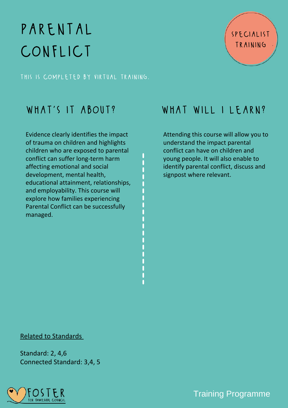# parental conflict

this is completed by virtual training.

Evidence clearly identifies the impact of trauma on children and highlights children who are exposed to parental conflict can suffer long-term harm affecting emotional and social development, mental health, educational attainment, relationships, and [employability.](https://www.google.co.uk/search?q=child+development&safe=active&tbm=isch&source=iu&ictx=1&fir=HwHadlNlB3eQZM%252CvNM7PpmlCIwXxM%252C_&vet=1&usg=AI4_-kSQoPFTPXl3xzE4lVON_NGD2urMEA&sa=X&ved=2ahUKEwjH9ej446LvAhXTiFwKHSHDD6QQ9QF6BAgSEAE#imgrc=HwHadlNlB3eQZM) This course will explore how families experiencing Parental Conflict can be successfully managed[.](https://www.google.co.uk/search?q=child+development&safe=active&tbm=isch&source=iu&ictx=1&fir=HwHadlNlB3eQZM%252CvNM7PpmlCIwXxM%252C_&vet=1&usg=AI4_-kSQoPFTPXl3xzE4lVON_NGD2urMEA&sa=X&ved=2ahUKEwjH9ej446LvAhXTiFwKHSHDD6QQ9QF6BAgSEAE#imgrc=HwHadlNlB3eQZM)

### WHAT'S IT ABOUT? WHAT WILL I LEARN?

specialist

training

Attending this course will allow you to understand the impact parental conflict can have on children and young people. It will also enable to identify parental conflict, discuss and signpost where relevant.

Related to Standards

Standard: 2, 4,6 Connected Standard: 3,4, 5

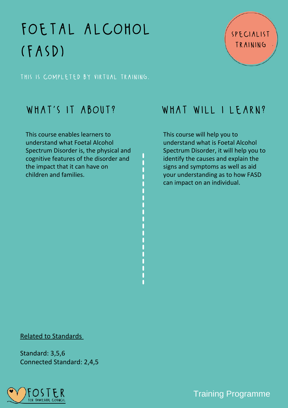# foetal alcohol  $(FASD)$

this is completed by virtual training.

This course enables learners to [understand](https://www.google.co.uk/search?q=child+development&safe=active&tbm=isch&source=iu&ictx=1&fir=HwHadlNlB3eQZM%252CvNM7PpmlCIwXxM%252C_&vet=1&usg=AI4_-kSQoPFTPXl3xzE4lVON_NGD2urMEA&sa=X&ved=2ahUKEwjH9ej446LvAhXTiFwKHSHDD6QQ9QF6BAgSEAE#imgrc=HwHadlNlB3eQZM) what Foetal Alcohol Spectrum Disorder is, the physical and cognitive features of the disorder and the impact that it can have on children and families.

### WHAT'S IT ABOUT? WHAT WILL I LEARN?

specialist

training

This course will help you to understand what is Foetal Alcohol Spectrum Disorder, it will help you to identify the causes and explain the signs and symptoms as well as aid your understanding as to how FASD can impact on an individual.

### Related to Standards

Standard: 3,5,6 Connected Standard: 2,4,5

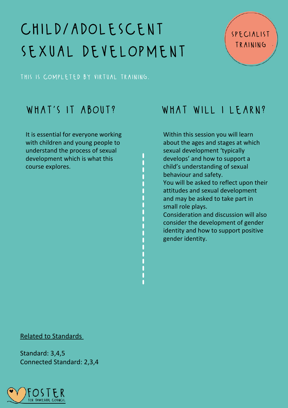# child/adolescent sexual development

this is completed by virtual training.

It is essential for everyone working with children and young people to understand the process of sexual [development](https://www.google.co.uk/search?q=child+development&safe=active&tbm=isch&source=iu&ictx=1&fir=HwHadlNlB3eQZM%252CvNM7PpmlCIwXxM%252C_&vet=1&usg=AI4_-kSQoPFTPXl3xzE4lVON_NGD2urMEA&sa=X&ved=2ahUKEwjH9ej446LvAhXTiFwKHSHDD6QQ9QF6BAgSEAE#imgrc=HwHadlNlB3eQZM) which is what this course explores[.](https://www.google.co.uk/search?q=child+development&safe=active&tbm=isch&source=iu&ictx=1&fir=HwHadlNlB3eQZM%252CvNM7PpmlCIwXxM%252C_&vet=1&usg=AI4_-kSQoPFTPXl3xzE4lVON_NGD2urMEA&sa=X&ved=2ahUKEwjH9ej446LvAhXTiFwKHSHDD6QQ9QF6BAgSEAE#imgrc=HwHadlNlB3eQZM)

### WHAT'S IT ABOUT? WHAT WILL I LEARN?

specialist

training

Within this session you will learn about the ages and stages at which sexual development 'typically develops' and how to support a child's understanding of sexual behaviour and safety.

You will be asked to reflect upon their attitudes and sexual development and may be asked to take part in small role plays.

Consideration and discussion will also consider the development of gender identity and how to support positive gender identity.

### Related to Standards

Standard: 3,4,5 Connected Standard: 2,3,4

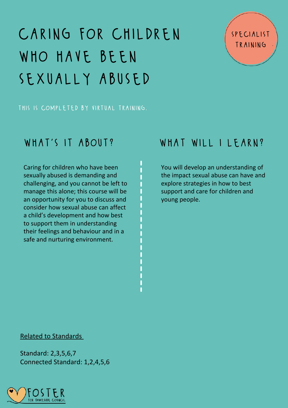# caring for children WHO HAVE BEEN sexually abused

### this is completed by virtual training.

Caring for children who have been sexually abused is demanding and challenging, and you cannot be left to manage this alone; this course will be an opportunity for you to discuss and consider how sexual abuse can affect a child's development and how best to support them in [understanding](https://www.google.co.uk/search?q=child+development&safe=active&tbm=isch&source=iu&ictx=1&fir=HwHadlNlB3eQZM%252CvNM7PpmlCIwXxM%252C_&vet=1&usg=AI4_-kSQoPFTPXl3xzE4lVON_NGD2urMEA&sa=X&ved=2ahUKEwjH9ej446LvAhXTiFwKHSHDD6QQ9QF6BAgSEAE#imgrc=HwHadlNlB3eQZM) their feelings and behaviour and in a safe and nurturing environment.

### WHAT'S IT ABOUT? WHAT WILL I LEARN?

specialist

training

You will develop an understanding of the impact sexual abuse can have and explore strategies in how to best support and care for children and young people.

### Related to Standards

Standard: 2,3,5,6,7 Connected Standard: 1,2,4,5,6

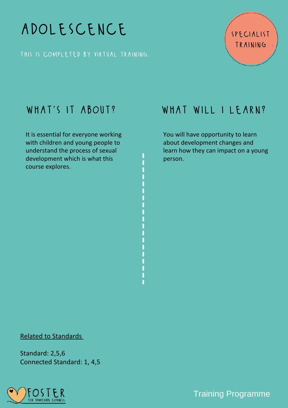

this is completed by virtual training.

It is essential for everyone working with children and young people to understand the process of sexual [development](https://www.google.co.uk/search?q=child+development&safe=active&tbm=isch&source=iu&ictx=1&fir=HwHadlNlB3eQZM%252CvNM7PpmlCIwXxM%252C_&vet=1&usg=AI4_-kSQoPFTPXl3xzE4lVON_NGD2urMEA&sa=X&ved=2ahUKEwjH9ej446LvAhXTiFwKHSHDD6QQ9QF6BAgSEAE#imgrc=HwHadlNlB3eQZM) which is what this course explores[.](https://www.google.co.uk/search?q=child+development&safe=active&tbm=isch&source=iu&ictx=1&fir=HwHadlNlB3eQZM%252CvNM7PpmlCIwXxM%252C_&vet=1&usg=AI4_-kSQoPFTPXl3xzE4lVON_NGD2urMEA&sa=X&ved=2ahUKEwjH9ej446LvAhXTiFwKHSHDD6QQ9QF6BAgSEAE#imgrc=HwHadlNlB3eQZM)

### WHAT'S IT ABOUT? WHAT WILL I LEARN?

You will have opportunity to learn about development changes and learn how they can impact on a young person.

### Related to Standards

Standard: 2,5,6 Connected Standard: 1, 4,5

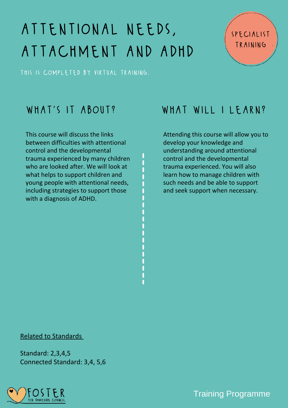# attentional needs, attachment and adhd

this is completed by virtual training.

This course will discuss the links between difficulties with attentional control and the [developmental](https://www.google.co.uk/search?q=child+development&safe=active&tbm=isch&source=iu&ictx=1&fir=HwHadlNlB3eQZM%252CvNM7PpmlCIwXxM%252C_&vet=1&usg=AI4_-kSQoPFTPXl3xzE4lVON_NGD2urMEA&sa=X&ved=2ahUKEwjH9ej446LvAhXTiFwKHSHDD6QQ9QF6BAgSEAE#imgrc=HwHadlNlB3eQZM) trauma experienced by many children who are looked after. We will look at what helps to support children and young people with attentional needs, including strategies to support those with a diagnosis of ADHD.

### WHAT'S IT ABOUT? WHAT WILL I LEARN?

specialist

training

Attending this course will allow you to develop your knowledge and understanding around attentional control and the developmental trauma experienced. You will also learn how to manage children with such needs and be able to support and seek support when necessary.

### Related to Standards

Standard: 2,3,4,5 Connected Standard: 3,4, 5,6

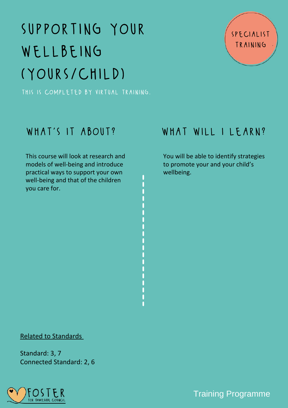# supporting your wellbeing (yours/child)

this is completed by virtual training.

### specialist training

This course will look at research and models of [well-being](https://www.google.co.uk/search?q=child+development&safe=active&tbm=isch&source=iu&ictx=1&fir=HwHadlNlB3eQZM%252CvNM7PpmlCIwXxM%252C_&vet=1&usg=AI4_-kSQoPFTPXl3xzE4lVON_NGD2urMEA&sa=X&ved=2ahUKEwjH9ej446LvAhXTiFwKHSHDD6QQ9QF6BAgSEAE#imgrc=HwHadlNlB3eQZM) and introduce practical ways to support your own well-being and that of the children you care for[.](https://www.google.co.uk/search?q=child+development&safe=active&tbm=isch&source=iu&ictx=1&fir=HwHadlNlB3eQZM%252CvNM7PpmlCIwXxM%252C_&vet=1&usg=AI4_-kSQoPFTPXl3xzE4lVON_NGD2urMEA&sa=X&ved=2ahUKEwjH9ej446LvAhXTiFwKHSHDD6QQ9QF6BAgSEAE#imgrc=HwHadlNlB3eQZM)

### WHAT'S IT ABOUT? WHAT WILL I LEARN?

You will be able to identify strategies to promote your and your child's wellbeing.

### Related to Standards

Standard: 3, 7 Connected Standard: 2, 6

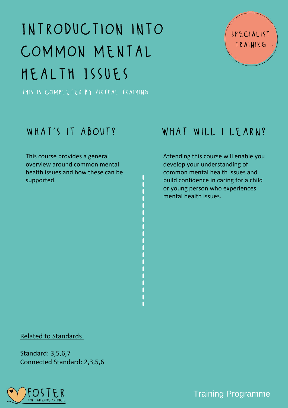# Introduction into common mental health Issues

this is completed by virtual training.

This course provides a general overview around common mental health issues and how these can be [supported.](https://www.google.co.uk/search?q=child+development&safe=active&tbm=isch&source=iu&ictx=1&fir=HwHadlNlB3eQZM%252CvNM7PpmlCIwXxM%252C_&vet=1&usg=AI4_-kSQoPFTPXl3xzE4lVON_NGD2urMEA&sa=X&ved=2ahUKEwjH9ej446LvAhXTiFwKHSHDD6QQ9QF6BAgSEAE#imgrc=HwHadlNlB3eQZM)

### WHAT'S IT ABOUT? WHAT WILL I LEARN?

specialist

training

Attending this course will enable you develop your understanding of common mental health issues and build confidence in caring for a child or young person who experiences mental health issues.

### Related to Standards

Standard: 3,5,6,7 Connected Standard: 2,3,5,6

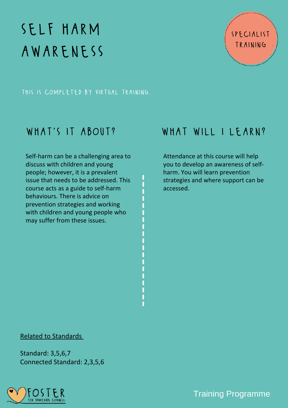# self harm awareness

this is completed by virtual training.

Self-harm can be a challenging area to discuss with children and young people; however, it is a prevalent issue that needs to be addressed. This course acts as a guide to self-harm [behaviours.](https://www.google.co.uk/search?q=child+development&safe=active&tbm=isch&source=iu&ictx=1&fir=HwHadlNlB3eQZM%252CvNM7PpmlCIwXxM%252C_&vet=1&usg=AI4_-kSQoPFTPXl3xzE4lVON_NGD2urMEA&sa=X&ved=2ahUKEwjH9ej446LvAhXTiFwKHSHDD6QQ9QF6BAgSEAE#imgrc=HwHadlNlB3eQZM) There is advice on prevention strategies and working with children and young people who may suffer from these issues.

### WHAT'S IT ABOUT? WHAT WILL I LEARN?

Attendance at this course will help you to develop an awareness of selfharm. You will learn prevention strategies and where support can be accessed.

### Related to Standards

Standard: 3,5,6,7 Connected Standard: 2,3,5,6